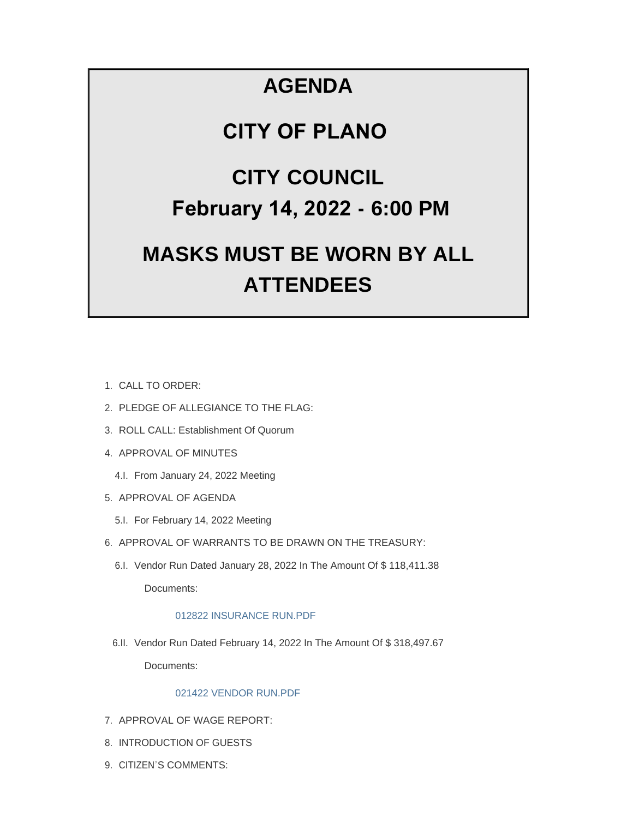## **AGENDA**

## **CITY OF PLANO**

## **CITY COUNCIL February 14, 2022 - 6:00 PM**

# **MASKS MUST BE WORN BY ALL ATTENDEES**

- CALL TO ORDER: 1.
- 2. PLEDGE OF ALLEGIANCE TO THE FLAG:
- 3. ROLL CALL: Establishment Of Quorum
- 4. APPROVAL OF MINUTES
	- 4.I. From January 24, 2022 Meeting
- 5. APPROVAL OF AGENDA
	- 5.I. For February 14, 2022 Meeting
- 6. APPROVAL OF WARRANTS TO BE DRAWN ON THE TREASURY:
	- 6.I. Vendor Run Dated January 28, 2022 In The Amount Of \$118,411.38 Documents:

### [012822 INSURANCE RUN.PDF](https://www.cityofplanoil.com/AgendaCenter/ViewFile/Item/8680?fileID=2446)

6.II. Vendor Run Dated February 14, 2022 In The Amount Of \$318,497.67

Documents:

#### [021422 VENDOR RUN.PDF](https://www.cityofplanoil.com/AgendaCenter/ViewFile/Item/8681?fileID=2454)

- 7. APPROVAL OF WAGE REPORT:
- 8. INTRODUCTION OF GUESTS
- 9. CITIZEN'S COMMENTS: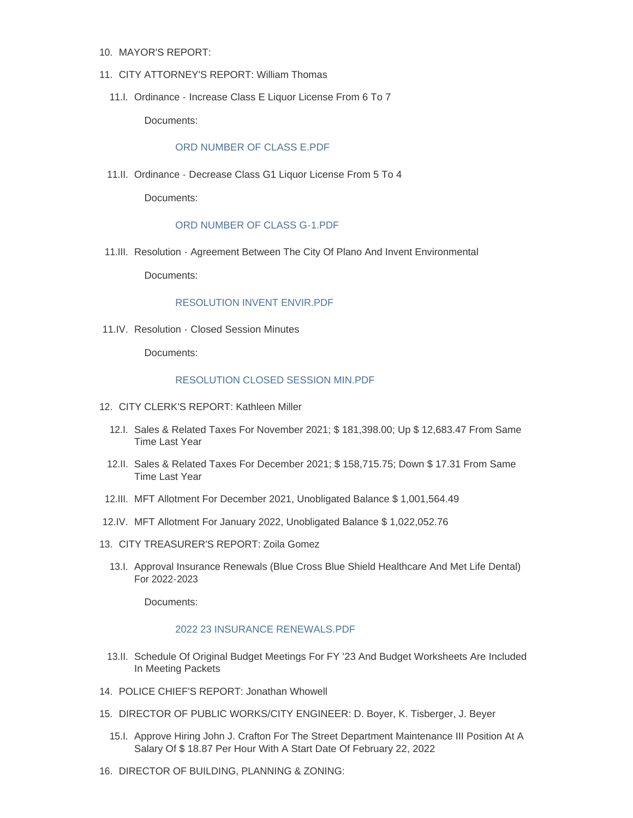- 10. MAYOR'S REPORT:
- CITY ATTORNEY'S REPORT: William Thomas 11.
	- 11.I. Ordinance Increase Class E Liquor License From 6 To 7

Documents:

#### [ORD NUMBER OF CLASS E.PDF](https://www.cityofplanoil.com/AgendaCenter/ViewFile/Item/8682?fileID=2447)

11.II. Ordinance - Decrease Class G1 Liquor License From 5 To 4

Documents:

#### [ORD NUMBER OF CLASS G-1.PDF](https://www.cityofplanoil.com/AgendaCenter/ViewFile/Item/8683?fileID=2448)

11.III. Resolution - Agreement Between The City Of Plano And Invent Environmental

Documents:

#### [RESOLUTION INVENT ENVIR.PDF](https://www.cityofplanoil.com/AgendaCenter/ViewFile/Item/8721?fileID=2452)

11.IV. Resolution - Closed Session Minutes

Documents:

#### [RESOLUTION CLOSED SESSION MIN.PDF](https://www.cityofplanoil.com/AgendaCenter/ViewFile/Item/8722?fileID=2453)

- 12. CITY CLERK'S REPORT: Kathleen Miller
	- 12.I. Sales & Related Taxes For November 2021; \$ 181,398.00; Up \$ 12,683.47 From Same Time Last Year
	- 12.II. Sales & Related Taxes For December 2021; \$ 158,715.75; Down \$ 17.31 From Same Time Last Year
- MFT Allotment For December 2021, Unobligated Balance \$ 1,001,564.49 12.III.
- 12.IV. MFT Allotment For January 2022, Unobligated Balance \$1,022,052.76
- CITY TREASURER'S REPORT: Zoila Gomez 13.
	- 13.I. Approval Insurance Renewals (Blue Cross Blue Shield Healthcare And Met Life Dental) For 2022-2023

Documents:

#### [2022 23 INSURANCE RENEWALS.PDF](https://www.cityofplanoil.com/AgendaCenter/ViewFile/Item/8686?fileID=2450)

- 13.II. Schedule Of Original Budget Meetings For FY '23 And Budget Worksheets Are Included In Meeting Packets
- 14. POLICE CHIEF'S REPORT: Jonathan Whowell
- 15. DIRECTOR OF PUBLIC WORKS/CITY ENGINEER: D. Boyer, K. Tisberger, J. Beyer
	- 15.I. Approve Hiring John J. Crafton For The Street Department Maintenance III Position At A Salary Of \$ 18.87 Per Hour With A Start Date Of February 22, 2022
- 16. DIRECTOR OF BUILDING, PLANNING & ZONING: